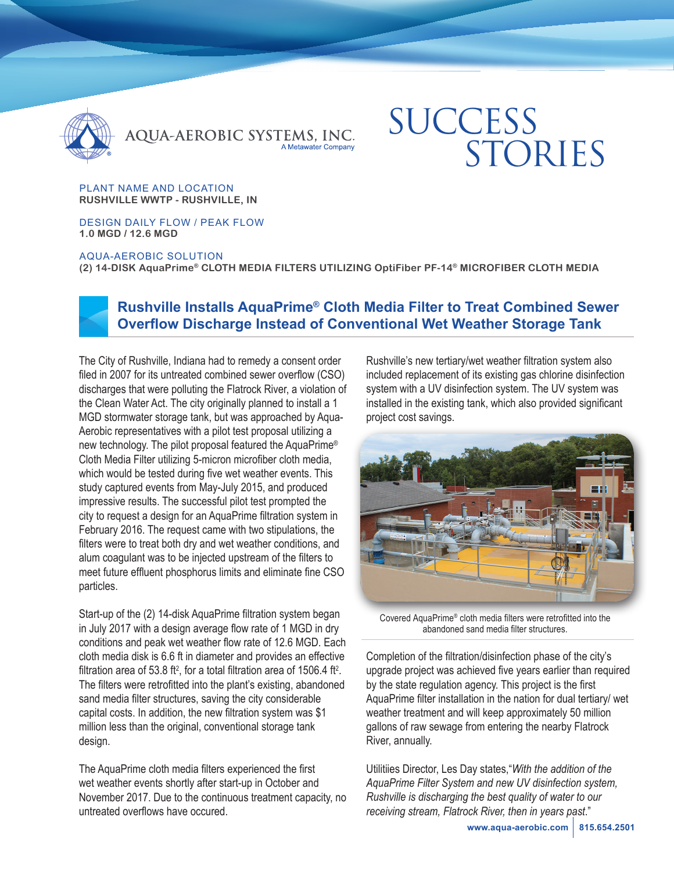

QUA-AEROBIC SYSTEMS, INC.

# **SUCCESS** STORIES

PLANT NAME AND LOCATION **RUSHVILLE WWTP - RUSHVILLE, IN**

DESIGN DAILY FLOW / PEAK FLOW **1.0 MGD / 12.6 MGD** 

AQUA-AEROBIC SOLUTION

**(2) 14-DISK AquaPrime® CLOTH MEDIA FILTERS UTILIZING OptiFiber PF-14® MICROFIBER CLOTH MEDIA**



## **Rushville Installs AquaPrime® Cloth Media Filter to Treat Combined Sewer Overflow Discharge Instead of Conventional Wet Weather Storage Tank**

The City of Rushville, Indiana had to remedy a consent order filed in 2007 for its untreated combined sewer overflow (CSO) discharges that were polluting the Flatrock River, a violation of the Clean Water Act. The city originally planned to install a 1 MGD stormwater storage tank, but was approached by Aqua-Aerobic representatives with a pilot test proposal utilizing a new technology. The pilot proposal featured the AquaPrime® Cloth Media Filter utilizing 5-micron microfiber cloth media, which would be tested during five wet weather events. This study captured events from May-July 2015, and produced impressive results. The successful pilot test prompted the city to request a design for an AquaPrime filtration system in February 2016. The request came with two stipulations, the filters were to treat both dry and wet weather conditions, and alum coagulant was to be injected upstream of the filters to meet future effluent phosphorus limits and eliminate fine CSO particles.

Start-up of the (2) 14-disk AquaPrime filtration system began in July 2017 with a design average flow rate of 1 MGD in dry conditions and peak wet weather flow rate of 12.6 MGD. Each cloth media disk is 6.6 ft in diameter and provides an effective filtration area of 53.8 ft<sup>2</sup>, for a total filtration area of 1506.4 ft<sup>2</sup>. The filters were retrofitted into the plant's existing, abandoned sand media filter structures, saving the city considerable capital costs. In addition, the new filtration system was \$1 million less than the original, conventional storage tank design.

The AquaPrime cloth media filters experienced the first wet weather events shortly after start-up in October and November 2017. Due to the continuous treatment capacity, no untreated overflows have occured.

Rushville's new tertiary/wet weather filtration system also included replacement of its existing gas chlorine disinfection system with a UV disinfection system. The UV system was installed in the existing tank, which also provided significant project cost savings.



Covered AquaPrime® cloth media filters were retrofitted into the abandoned sand media filter structures.

Completion of the filtration/disinfection phase of the city's upgrade project was achieved five years earlier than required by the state regulation agency. This project is the first AquaPrime filter installation in the nation for dual tertiary/ wet weather treatment and will keep approximately 50 million gallons of raw sewage from entering the nearby Flatrock River, annually.

Utilitiies Director, Les Day states,"*With the addition of the AquaPrime Filter System and new UV disinfection system, Rushville is discharging the best quality of water to our receiving stream, Flatrock River, then in years past*."